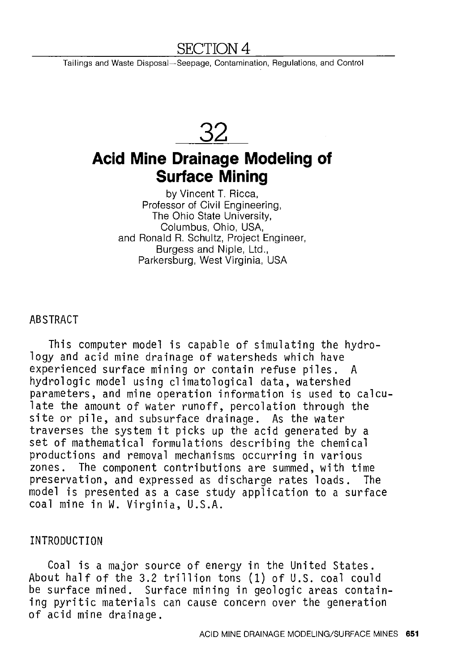## SECTION 4

Tailings and Waste Disposal-Seepage, Contamination, Regulations, and Control

**32** 

# **Acid Mine Drainage Modeling of Surface Mining**

by Vincent T. Ricca, Professor of Civil Engineering, The Ohio State University, Columbus, Ohio, USA, and Ronald R. Schultz, Project Engineer, Burgess and Niple, Ltd., Parkersburg, West Virginia, USA

ABSTRACT

This computer model is capable of simulating the hydrology and acid mine drainage of watersheds which have experienced surface mining or contain refuse piles. A hydrologic model using climatological data, watershed parameters, and mine operation information is used to calculate the amount of water runoff, percolation through the site or pile, and subsurface drainage. As the water traverses the system it picks up the acid generated by a set of mathematical formulations describing the chemical productions and removal mechanisms occurring in various zones. The component contributions are summed, with time preservation, and expressed as discharge rates loads. The model is presented as a case study application to a surface coal mine in W. Virginia, U.S.A.

#### INTRODUCTION

Coal is a major source of energy in the United States. About half of the 3.2 trillion tons (1) of U.S. coal could be surface mined. Surface mining in geologic areas containing pyritic materials can cause concern over the generation of acid mine drainage.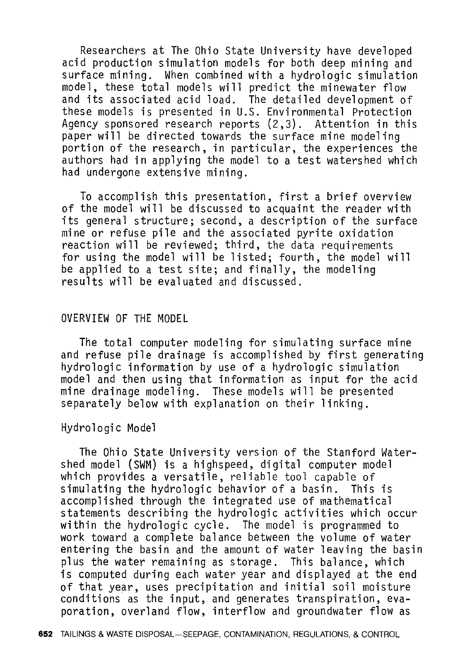Researchers at The Ohio State University have developed acid production simulation models for both deep mining and surface mining. When combined with a hydrologic simulation model, these total models will predict the minewater flow and its associated acid load. The detailed development of these models is presented in U.S. Environmental Protection Agency sponsored research reports (2,3). Attention in this paper will be directed towards the surface mine modeling portion of the research, in particular, the experiences the authors had in applying the model to a test watershed which had undergone extensive mining.

To accomplish this presentation, first a brief overview of the model will be discussed to acquaint the reader with its general structure; second, a description of the surface mine or refuse pile and the associated pyrite oxidation reaction will be reviewed; third, the data requirements for using the model will be listed; fourth, the model will be applied to a test site; and finally, the modeling results will be evaluated and discussed.

#### OVERVIEW OF THE MODEL

The total computer modeling for simulating surface mine and refuse pile drainage is accomplished by first generating hydrologic information by use of a hydrologic simulation model and then using that information as input for the acid mine drainage modeling. These models will be presented separately below with explanation on their linking.

#### Hydrologic Model

The Ohio State University version of the Stanford Watershed model (SWM) is a highspeed, digital computer model which provides a versatile, reliable tool capable of simulating the hydrologic behavior of a basin. This is accomplished through the integrated use of mathematical statements describing the hydrologic activities which occur within the hydrologic cycle. The model is programmed to work toward a complete balance between the volume of water entering the basin and the amount of water leaving the basin plus the water remaining as storage. This balance, which is computed during each water year and displayed at the end of that year, uses precipitation and initial soil moisture conditions as the input, and generates transpiration, evaporation, overland flow, interflow and groundwater flow as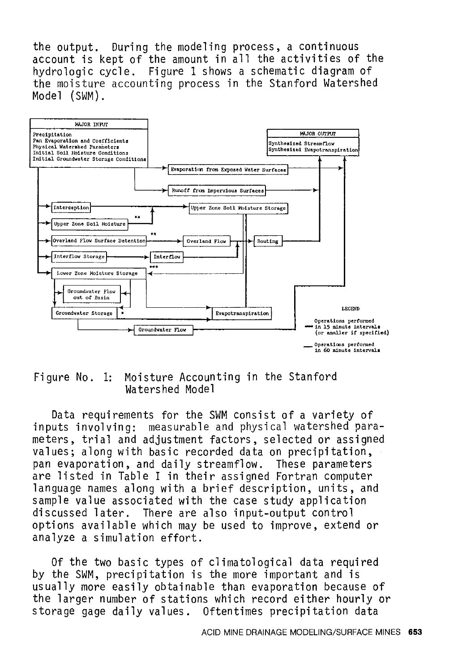the output. During the modeling process, a continuous account is kept of the amount in all the activities of the hydrologic cycle. Figure 1 shows a schematic diagram of the moisture accounting process in the Stanford Watershed Model (SWM).



#### Figure No. 1: Moisture Accounting in the Stanford Watershed Model

Data requirements for the SWM consist of a variety of inputs involving: measurable and physical watershed parameters, trial and adjustment factors, selected or assigned values; along with basic recorded data on precipitation, pan evaporation, and daily streamflow. These parameters are listed in Table I in their assigned Fortran computer language names along with a brief description, units, and sample value associated with the case study application discussed later. There are also input-output control options available which may be used to improve, extend or analyze a simulation effort.

Of the two basic types of climatological data required by the SWM, precipitation is the more important and is usually more easily obtainable than evaporation because of the larger number of stations which record either hourly or storage gage daily values. Oftentimes precipitation data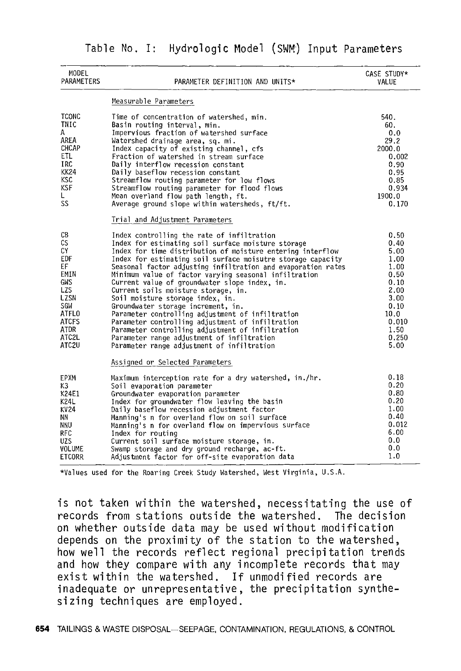|  |  | Table No. I: Hydrologic Model (SWM) Input Parameters |  |  |  |  |
|--|--|------------------------------------------------------|--|--|--|--|
|--|--|------------------------------------------------------|--|--|--|--|

| MODEL<br>PARAMETERS                                                                                                        | PARAMETER DEFINITION AND UNITS*                                                                                                                                                                                                                                                                                                                                                                                                                                                                                                                                                                                                                                                                                                                                                  | CASE STUDY*<br>VALUE                                                                                                   |
|----------------------------------------------------------------------------------------------------------------------------|----------------------------------------------------------------------------------------------------------------------------------------------------------------------------------------------------------------------------------------------------------------------------------------------------------------------------------------------------------------------------------------------------------------------------------------------------------------------------------------------------------------------------------------------------------------------------------------------------------------------------------------------------------------------------------------------------------------------------------------------------------------------------------|------------------------------------------------------------------------------------------------------------------------|
|                                                                                                                            | Measurable Parameters                                                                                                                                                                                                                                                                                                                                                                                                                                                                                                                                                                                                                                                                                                                                                            |                                                                                                                        |
| <b>TCONC</b><br>TNIC<br>А<br>AREA<br>CHCAP<br>ETL.<br><b>IRC</b><br><b>KK24</b><br>KSC<br><b>KSF</b><br>L<br>SS            | Time of concentration of watershed, min.<br>Basin routing interval, min.<br>Impervious fraction of watershed surface<br>Watershed drainage area, sq. mi.<br>Index capacity of existing channel, cfs<br>Fraction of watershed in stream surface<br>Daily interflow recession constant<br>Daily baseflow recession constant<br>Streamflow routing parameter for low flows<br>Streamflow routing parameter for flood flows<br>Mean overland flow path length, ft.<br>Average ground slope within watersheds, ft/ft.                                                                                                                                                                                                                                                                 | 540.<br>60.<br>0.0<br>29.2<br>2000.0<br>0.002<br>0.90<br>0.95<br>0.85<br>0.934<br>1900.0<br>0.170                      |
|                                                                                                                            | Trial and Adjustment Parameters                                                                                                                                                                                                                                                                                                                                                                                                                                                                                                                                                                                                                                                                                                                                                  |                                                                                                                        |
| CВ<br>CS<br>CY<br>EDF<br>EF<br>EMIN<br><b>GWS</b><br>LZS<br>LZSN<br>SGW<br>ATFLO<br>ATCFS<br><b>ATDR</b><br>ATC2L<br>ATC2U | Index controlling the rate of infiltration<br>Index for estimating soil surface moisture storage<br>Index for time distribution of moisture entering interflow<br>Index for estimating soil surface moisutre storage capacity<br>Seasonal factor adjusting infiltration and evaporation rates<br>Minimum value of factor varying seasonal infiltration<br>Current value of groundwater slope index, in.<br>Current soils moisture storage, in.<br>Soil moisture storage index, in.<br>Groundwater storage increment, in.<br>Parameter controlling adjustment of infiltration<br>Parameter controlling adjustment of infiltration<br>Parameter controlling adjustment of infiltration<br>Parameter range adjustment of infiltration<br>Parameter range adjustment of infiltration | 0.50<br>0.40<br>5.00<br>1.00<br>1.00<br>0.50<br>0.10<br>2,00<br>3.00<br>0.10<br>10.0<br>0.010<br>1.50<br>0.250<br>5.00 |
|                                                                                                                            | Assigned or Selected Parameters                                                                                                                                                                                                                                                                                                                                                                                                                                                                                                                                                                                                                                                                                                                                                  |                                                                                                                        |
| EPXM<br>KЗ<br>K24E1<br>K24L<br>KV24<br>NΝ<br>NNU<br>RFC<br><b>UZS</b><br>VOLUME<br>ETCORR                                  | Maximum interception rate for a dry watershed, in./hr.<br>Soil evaporation parameter<br>Groundwater evaporation parameter<br>Index for groundwater flow leaving the basin<br>Daily baseflow recession adjustment factor<br>Manning's n for overland flow on soil surface<br>Manning's n for overland flow on impervious surface<br>Index for routing<br>Current soil surface moisture storage, in.<br>Swamp storage and dry ground recharge, ac-ft.<br>Adjustment factor for off-site evaporation data                                                                                                                                                                                                                                                                           | 0.18<br>0.20<br>0.80<br>0.20<br>1.00<br>0.40<br>0.012<br>6.00<br>0.0<br>0.0<br>1.0                                     |

\*Values used for the Roaring Creek Study Watershed, West Virginia, U.S.A.

is not taken within the watershed, necessitating the use of records from stations outside the watershed. The decision on whether outside data may be used without modification depends on the proximity of the station to the watershed, how well the records reflect regional precipitation trends and how they compare with any incomplete records that may exist within the watershed. If unmodified records are inadequate or unrepresentative, the precipitation synthesizing techniques are employed.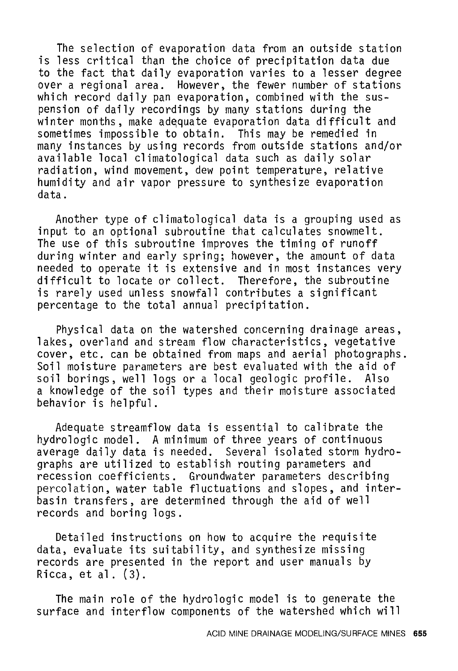The selection of evaporation data from an outside station is less critical than the choice of precipitation data due to the fact that daily evaporation varies to a lesser degree over a regional area. However, the fewer number of stations which record daily pan evaporation, combined with the suspension of daily recordings by many stations during the winter months, make adequate evaporation data difficult and sometimes impossible to obtain. This may be remedied in many instances by using records from outside stations and/or available local climatological data such as daily solar radiation, wind movement, dew point temperature, relative humidity and air vapor pressure to synthesize evaporation data.

Another type of climatological data is a grouping used as input to an optional subroutine that calculates snowmelt. The use of this subroutine improves the timing of runoff during winter and early spring; however, the amount of data needed to operate it is extensive and in most instances very difficult to locate or collect. Therefore, the subroutine is rarely used unless snowfall contributes a significant percentage to the total annual precipitation.

Physical data on the watershed concerning drainage areas, lakes, overland and stream flow characteristics, vegetative cover, etc. can be obtained from maps and aerial photographs. Soil moisture parameters are best evaluated with the aid of<br>soil borings, well logs or a local geologic profile. Also soil borings, well logs or a local geologic profile. a knowledge of the soil types and their moisture associated behavior is helpful.

Adequate streamflow data is essential to calibrate the hydro logic model. A minimum of three years of continuous average daily data is needed. Several isolated storm hydrographs are utilized to establish routing parameters and recession coefficients. Groundwater parameters describing percolation, water table fluctuations and slopes, and interbasin transfers, are determined through the aid of well records and boring logs.

Detailed instructions on how to acquire the requisite data, evaluate its suitability, and synthesize missing records are presented in the report and user manuals by Ricca, et al. (3).

The main role of the hydrologic model is to generate the surface and interflow components of the watershed which will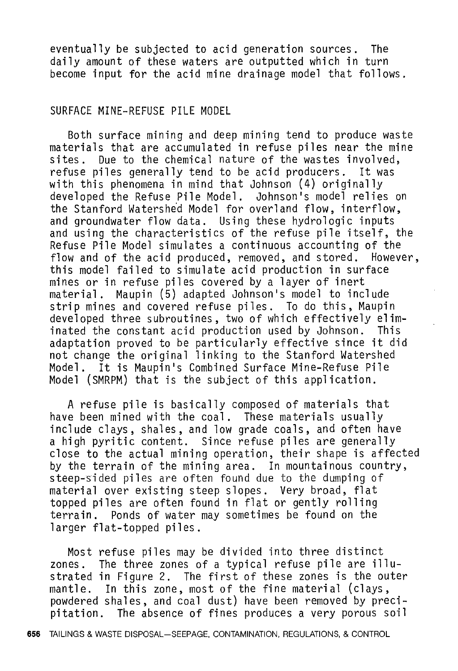eventually be subjected to acid generation sources. The daily amount of these waters are outputted which in turn become input for the acid mine drainage model that follows.

#### SURFACE MINE-REFUSE PILE MODEL

Both surface mining and deep mining tend to produce waste materials that are accumulated in refuse piles near the mine sites. Due to the chemical nature of the wastes involved, refuse piles generally tend to be acid producers. It was with this phenomena in mind that Johnson (4) originally developed the Refuse Pile Model. Johnson's model relies on the Stanford Watershed Model for overland flow, interflow, and groundwater flow data. Using these hydrologic inputs and using the characteristics of the refuse pile itself, the Refuse Pile Model simulates a continuous accounting of the flow and of the acid produced, removed, and stored. However, this model failed to simulate acid production in surface mines or in refuse piles covered by a layer of inert material. Maupin (5) adapted Johnson's model to include strip mines and covered refuse piles. To do this, Maupin developed three subroutines, two of which effectively eliminated the constant acid production used by Johnson. This adaptation proved to be particularly effective since it did not change the original linking to the Stanford Watershed Model. It is Maupin's Combined Surface Mine-Refuse Pile Model (SMRPM) that is the subject of this application.

A refuse pile is basically composed of materials that have been mined with the coal. These materials usually include clays, shales, and low grade coals, and often have a high pyritic content. Since refuse piles are generally close to the actual mining operation, their shape is affected by the terrain of the mining area. In mountainous country, steep-sided piles are often found due to the dumping of material over existing steep slopes. Very broad, flat topped piles are often found in flat or gently rolling terrain. Ponds of water may sometimes be found on the larger flat-topped piles.

Most refuse piles may be divided into three distinct zones. The three zones of a typical refuse pile are illustrated in Figure 2. The first of these zones is the outer mantle. In this zone, most of the fine material (clays, powdered shales, and coal dust) have been removed by precipitation. The absence of fines produces a very porous soil

**656** TAILINGS & WASTE DISPOSAL-SEEPAGE, CONTAMINATION, REGULATIONS, & CONTROL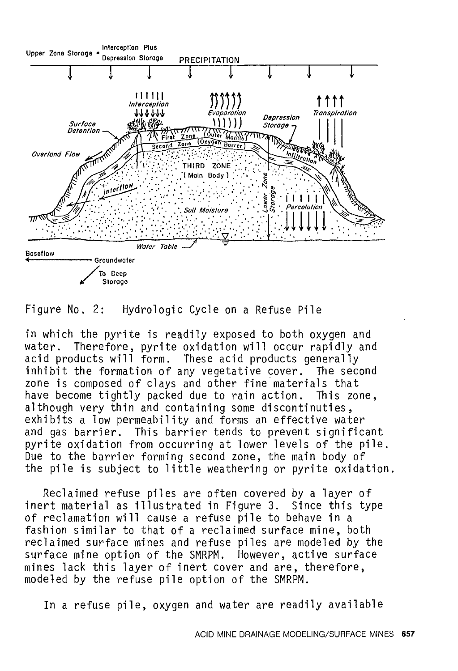

Figure No. 2: Hydrologic Cycle on a Refuse Pile

in which the pyrite is readily exposed to both oxygen and water. Therefore, pyrite oxidation will occur rapidly and acid products will form. These acid products generally inhibit the formation of any vegetative cover. The second zone is composed of clays and other fine materials that<br>have become tightly packed due to rain action. This zone, have become tightly packed due to rain action. although very thin and containing some discontinuties, exhibits a low permeability and forms an effective water and gas barrier. This barrier tends to prevent significant pyrite oxidation from occurring at lower levels of the pile. Due to the barrier forming second zone, the main body of the pile is subject to little weathering or pyrite oxidation.

Reclaimed refuse piles are often covered by a layer of inert material as illustrated in Figure 3. Since this type of reclamation will cause a refuse pile to behave in a fashion similar to that of a reclaimed surface mine, both reclaimed surface mines and refuse piles are modeled by the surface mine option of the SMRPM. However, active surface mines lack this layer of inert cover and are, therefore, modeled by the refuse pile option of the SMRPM.

In a refuse pile, oxygen and water are readily available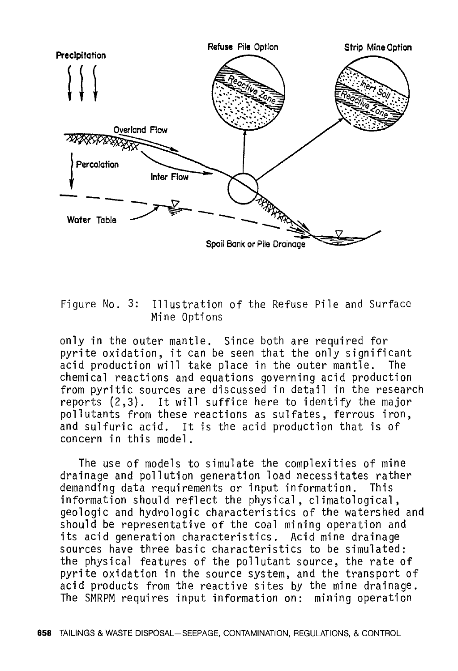

Figure No. 3: Illustration of the Refuse Pile and Surface Mine Options

only in the outer mantle. Since both are required for pyrite oxidation, it can be seen that the only significant acid production will take place in the outer mantle. The chemical reactions and equations governing acid production from pyritic sources are discussed in detail in the research reports (2,3). It will suffice here to identify the major pollutants from these reactions as sulfates, ferrous iron, and sulfuric acid. It is the acid production that is of concern in this model.

The use of models to simulate the complexities of mine drainage and pollution generation load necessitates rather demanding data requirements or input information. This information should reflect the physical, climatological, geologic and hydrologic characteristics of the watershed and should be representative of the coal mining operation and its acid generation characteristics. Acid mine drainage sources have three basic characteristics to be simulated: the physical features of the pollutant source, the rate of pyrite oxidation in the source system, and the transport of acid products from the reactive sites by the mine drainage. The SMRPM requires input information on: mining operation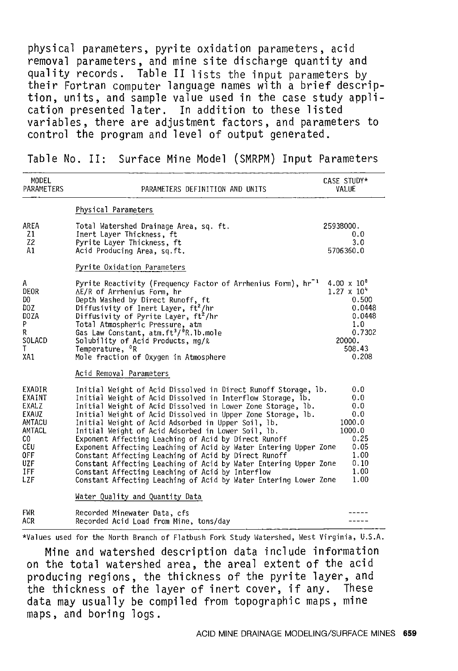physical parameters, pyrite oxidation parameters, acid removal parameters, and mine site discharge quantity and quality records. Table II lists the input parameters by<br>their Fortran computer language names with a brief description, units, and sample value used in the case study application presented later. In addition to these listed variables, there are adjustment factors, and parameters to control the program and level of output generated.

MODEL CASE STUDY\* PARAMETERS PARAMETERS DEFINITION AND UNITS VALUE Physical Parameters AREA Total Watershed Drainage Area, sq. ft. 25938000. Zl 0.0 Inert Layer Thickness, ft Z2 Pyrite Layer Thickness, ft 3.0 5706360. 0 Al Acid Producing Area, sq.ft. Pyrite Oxidation Parameters Pyrite Reactivity (Frequency Factor of Arrhenius Form), hr  $1$   $4.00 \times 10^8$ A DEOR  $1.27 \times 10^{4}$ ΔE/R of Arrhenius Form, hr<br>Depth Washed by Direct Runoff, ft<br>Diffusivity of Inert Layer, ft<sup>2</sup>/hr 0.500 DO 0.0448 DOZ DOZA Diffusivity of Pyrite Layer, ft<sup>2</sup>/hr 0.0448 p Total Atmospheric Pressure, atm<br>Gas Law Constant, atm.ft<sup>3</sup>/<sup>0</sup>R.lb.mole<br>Solubility of Acid Products, mg/ℓ 1. 0 R 0. 7302 SOLACD 20000. Temperature, <sup>o</sup>R 508.43 T XAl Mole fraction of Oxygen in Atmosphere 0.208 Acid Removal Parameters EXADIR Initial Weight of Acid Dissolved in Direct Runoff Storage, lb. 0.0 EXAINT Initial Weight of Acid Dissolved in Interflow Storage, lb. o.o EXALZ Initial Weight of Acid Dissolved in Lower Zone Storage, lb. 0.0 EXAUZ Initial Weight of Acid Dissolved in Upper Zone Storage, lb. 0.0 Initial Weight of Acid Adsorbed in Upper Soil, lb. 1000.0 AMTACU Initial Weight of Acid Adsorbed in Lower Soil, lb. AMTACL 1000.0 co Exponent Affecting Leaching of Acid by Direct Runoff Exponent Affecting Leaching of Acid by Water Entering Upper Zone Constant Affecting Leaching of Acid by Direct Runoff 0.25 CEU 0.05 OFF 1.00 UZF Constant Affecting Leaching of Acid by Water Entering Upper Zone 0.10 !FF Constant Affecting Leaching of Acid by Interflow 1. 00 LZF Constant Affecting Leaching of Acid by Water Entering Lower Zone 1.00 Water Quality and Quantity Data FWR Recorded Minewater Data, cfs<br>ACR Recorded Acid Load from Mine  $- - - - -$ Recorded Acid Load from Mine, tons/day  $- - - - -$ 

Table No. II: Surface Mine Model (SMRPM) Input Parameters

\*Values used for the North Branch of Flatbush Fork Study Watershed, West Virginia, U.S.A.

Mine and watershed description data include information on the total watershed area, the areal extent of the acid producing regions, the thickness of the pyrite layer, and the thickness of the layer of inert cover, if any. These data may usually be compiled from topographic maps, mine maps, and boring logs.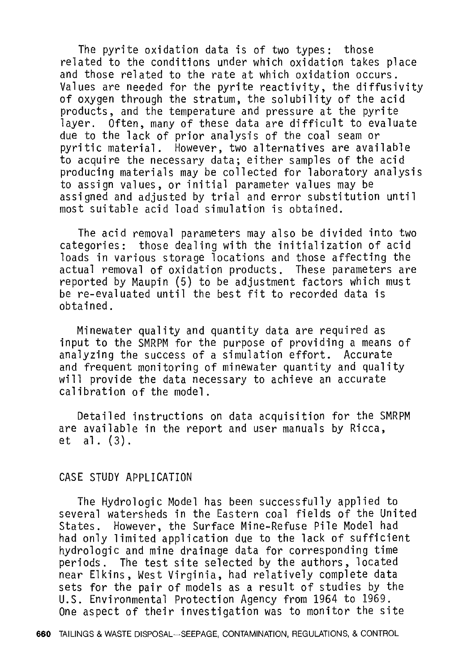The pyrite oxidation data is of two types: those related to the conditions under which oxidation takes place and those related to the rate at which oxidation occurs. Values are needed for the pyrite reactivity, the diffusivity of oxygen through the stratum, the solubility of the acid products, and the temperature and pressure at the pyrite layer. Often, many of these data are difficult to evaluate due to the lack of prior analysis of the coal seam or pyritic material. However, two alternatives are available to acquire the necessary data; eitber samples of the acid producing materials may be collected for laboratory analysis to assign values, or initial parameter values may be assigned and adjusted by trial and error substitution until most suitable acid load simulation is obtained.

The acid removal parameters may also be divided into two categories: those dealing with the initialization of acid loads in various storage locations and those affecting the actual removal of oxidation products. These parameters are reported by Maupin (5) to be adjustment factors which must be re-evaluated until the best fit to recorded data is obtained.

Minewater quality and quantity data are required as input to the SMRPM for the purpose of providing a means of analyzing the success of a simulation effort. Accurate and frequent monitoring of minewater quantity and quality will provide the data necessary to achieve an accurate calibration of the model.

Detailed instructions on data acquisition for the SMRPM are available in the report and user manuals by Ricca, et al. (3).

#### CASE STUDY APPLICATION

The Hydrologic Model has been successfully applied to several watersheds in the Eastern coal fields of the United States. However, the Surface Mine-Refuse Pile Model had had only limited application due to the lack of sufficient hydrologic and mine drainage data for corresponding time periods. The test site selected by the authors, located near Elkins, West Virginia, had relatively complete data sets for the pair of models as a result of studies by the U.S. Environmental Protection Agency from 1964 to 1969. One aspect of their investigation was to monitor the site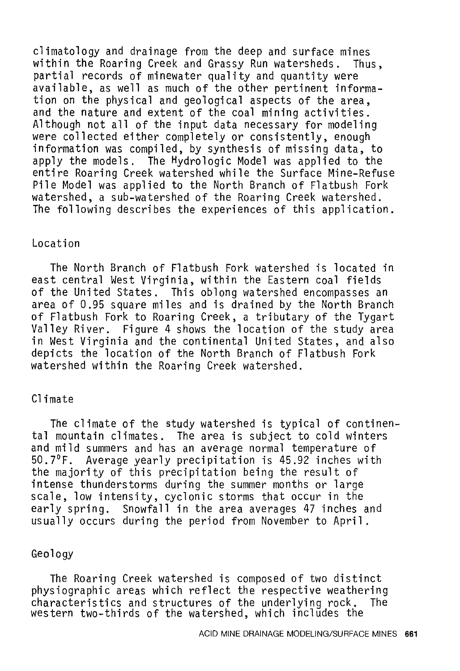climatology and drainage from the deep and surface mines within the Roaring Creek and Grassy Run watersheds. Thus, partial records of minewater quality and quantity were available, as well as much of the other pertinent information on the physical and geological aspects of the area, and the nature and extent of the coal mining activities. Although not all of the input data necessary for modeling were collected either completely or consistently, enough information was compiled, by synthesis of missing data, to apply the models. The Hydrologic Model was applied to the entire Roaring Creek watershed while the Surface Mine-Refuse Pile Model was applied to the North Branch of Flatbush Fork watershed, a sub-watershed of the Roaring Creek watershed. The following describes the experiences of this application.

#### Location

The North Branch of Flatbush Fork watershed is located in east central West Virginia, within the Eastern coal fields of the United States. This oblong watershed encompasses an area of 0.95 square miles and is drained by the North Branch of Flatbush Fork to Roaring Creek, a tributary of the Tygart Valley River. Figure 4 shows the location of the study area in West Virginia and the continental United States, and also depicts the location of the North Branch of Flatbush Fork watershed within the Roaring Creek watershed.

#### Climate

The climate of the study watershed is typical of continental mountain climates. The area is subject to cold winters and mild summers and has an average normal temperature of 50.7°F. Average yearly precipitation is 45.92 inches with the majority of this precipitation being the result of intense thunderstorms during the summer months or large scale, low intensity, cyclonic storms that occur in the early spring. Snowfall in the area averages 47 inches and usually occurs during the period from November to April.

## Geology

The Roaring Creek watershed is composed of two distinct physiographic areas which reflect the respective weathering<br>characteristics and structures of the underlying rock. The characteristics and structures of the underlying rock. western two-thirds of the watershed, which includes the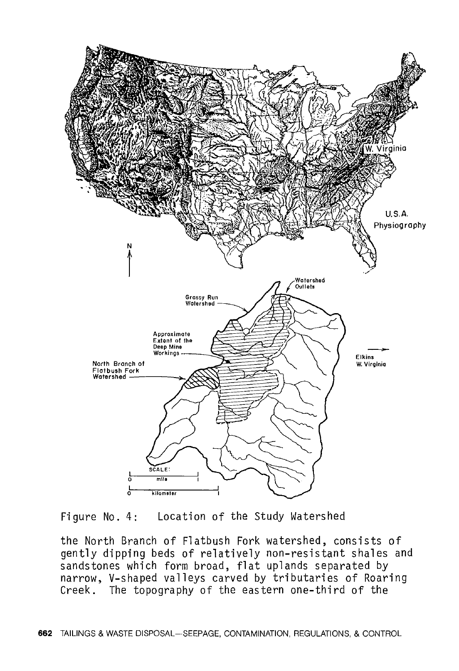

Figure No. 4: Location of the Study Watershed

the North Branch of Flatbush Fork watershed, consists of gently dipping beds of relatively non-resistant shales and sandstones which form broad, flat uplands separated by narrow, V-shaped valleys carved by tributaries of Roaring Creek. The topography of the eastern one-third of the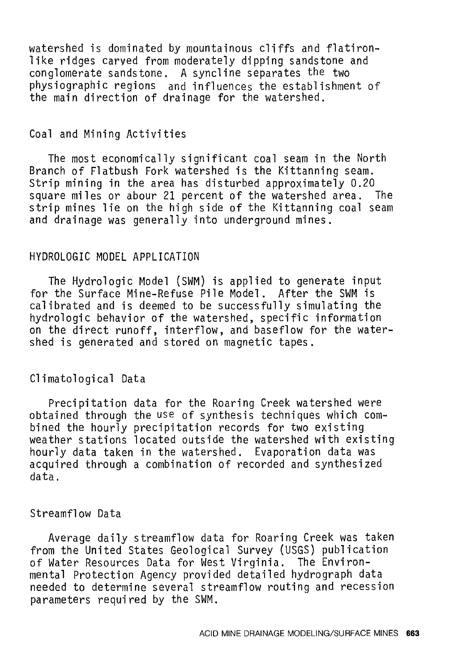watershed is dominated by mountainous cliffs and flatironlike ridges carved from moderately dipping sandstone and conglomerate sandstone. A syncline separates the two physiographic regions and influences the establishment of the main direction of drainage for the watershed.

#### Coal and Mining Activities

The most economically significant coal seam in the North Branch of Flatbush Fork watershed is the Kittanning seam. Strip mining in the area has disturbed approximately 0.20<br>square miles or abour 21 percent of the watershed area. The square miles or abour 21 percent of the watershed area. strip mines lie on the high side of the Kittanning coal seam and drainage was generally into underground mines.

#### HYDROLOGIC MODEL APPLICATION

The Hydrologic Model (SWM) is applied to generate input for the Surface Mine-Refuse Pile Model. After the SWM is calibrated and is deemed to be successfully simulating the hydrologic behavior of the watershed, specific information on the direct runoff, interflow, and baseflow for the watershed is generated and stored on magnetic tapes.

#### Climatological Data

Precipitation data for the Roaring Creek watershed were obtained through the use of synthesis techniques which combined the hourly precipitation records for two existing weather stations located outside the watershed with existing hourly data taken in the watershed. Evaporation data was acquired through a combination of recorded and synthesized data.

#### Streamflow Data

Average daily streamflow data for Roaring Creek was taken from the United States Geological Survey (USGS) publication of Water Resources Data for West Virginia. The Environmental Protection Agency provided detailed hydrograph data needed to determine several streamflow routing and recession parameters required by the SWM.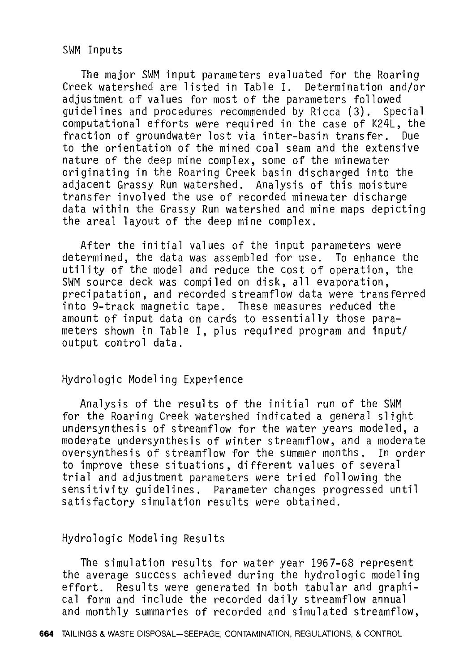SWM Inputs

The major SWM input parameters evaluated for the Roaring Creek watershed are listed in Table I. Determination and/or adjustment of values for most of the parameters followed guidelines and procedures recommended by Ricca (3). Special computational efforts were required in the case of K24L, the fraction of groundwater lost via inter-basin transfer. Due to the orientation of the mined coal seam and the extensive nature of the deep mine complex, some of the minewater originating in the Roaring Creek basin discharged into the adjacent Grassy Run watershed. Analysis of this moisture transfer involved the use of recorded minewater discharge data within the Grassy Run watershed and mine maps depicting the areal layout of the deep mine complex.

After the initial values of the input parameters were determined, the data was assembled for use. To enhance the utility of the model and reduce the cost of operation, the SWM source deck was compiled on disk, all evaporation, precipatation, and recorded streamflow data were transferred into 9-track magnetic tape. These measures reduced the amount of input data on cards to essentially those parameters shown in Table I, plus required program and input/ output control data.

#### Hydrologic Modeling Experience

Analysis of the results of the initial run of the SWM for the Roaring Creek watershed indicated a general slight undersynthesis of streamflow for the water years modeled, a moderate undersynthesis of winter streamflow, and a moderate oversynthesis of streamflow for the summer months. In order to improve these situations, different values of several trial and adjustment parameters were tried following the sensitivity guidelines. Parameter changes progressed until satisfactory simulation results were obtained.

## Hydrologic Modeling Results

The simulation results for water year 1967-68 represent the average success achieved during the hydrologic modeling effort. Results were generated in both tabular and graphical form and include the recorded daily streamflow annual and monthly summaries of recorded and simulated streamflow,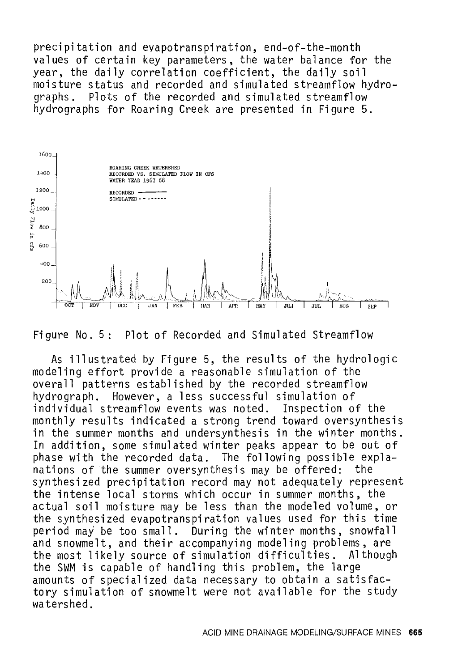precipitation and evapotranspiration, end-of-the-month values of certain key parameters, the water balance for the year, the daily correlation coefficient, the daily soil moisture status and recorded and simulated streamflow hydro-<br>graphs. Plots of the recorded and simulated streamflow Plots of the recorded and simulated streamflow hydrographs for Roaring Creek are presented in Figure 5.



Figure No. 5: Plot of Recorded and Simulated Streamflow

As illustrated by Figure 5, the results of the hydrologic modeling effort provide a reasonable simulation of the overall patterns established by the recorded streamflow hydrograph. However, a less successful simulation of individual streamflow events was noted. Inspection of the monthly results indicated a strong trend toward oversynthesis in the summer months and undersynthesis in the winter months. In addition, some simulated winter peaks appear to be out of phase with the recorded data. The following possible expla-<br>nations of the summer oversynthesis may be offered: the nations of the summer oversynthesis may be offered: synthesized precipitation record may not adequately represent the intense local storms which occur in summer months, the actual soil moisture may be less than the modeled volume, or the synthesized evapotranspiration values used for this time period may be too small. During the winter months, snowfall and snowmelt, and their accompanying modeling problems, are the most likely source of simulation difficulties. the SWM is capable of handling this problem, the large amounts of specialized data necessary to obtain a satisfactory simulation of snowmelt were not available for the study watershed.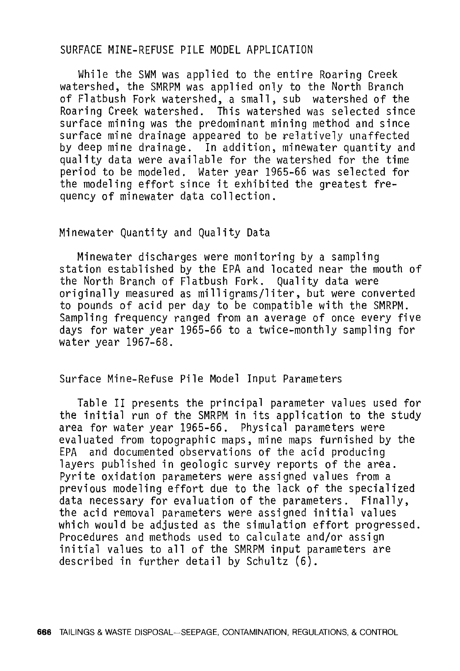#### SURFACE MINE-REFUSE PILE MODEL APPLICATION

While the SWM was applied to the entire Roaring Creek watershed, the SMRPM was applied only to the North Branch of Flatbush Fork watershed, a small, sub watershed of the Roaring Creek watershed. This watershed was selected since surface mining was the predominant mining method and since surface mine drainage appeared to be relatively unaffected by deep mine drainage. In addition, minewater quantity and quality data were available for the watershed for the time period to be modeled. Water year 1965-66 was selected for the modeling effort since it exhibited the greatest frequency of minewater data collection.

#### Minewater Quantity and Quality Data

Minewater discharges were monitoring by a sampling station established by the EPA and located near the mouth of the North Branch of Flatbush Fork. Quality data were originally measured as milligrams/liter, but were converted to pounds of acid per day to be compatible with the SMRPM. Sampling frequency ranged from an average of once every five days for water year 1965-66 to a twice-monthly sampling for water year 1967-68.

#### Surface Mine-Refuse Pile Model Input Parameters

Table II presents the principal parameter values used for the initial run of the SMRPM in its application to the study area for water year 1965-66. Physical parameters were evaluated from topographic maps, mine maps furnished by the EPA and documented observations of the acid producing and documented observations of the acid producing layers published in geologic survey reports of the area. Pyrite oxidation parameters were assigned values from a previous modeling effort due to the lack of the specialized data necessary for evaluation of the parameters. Finally, the acid removal parameters were assigned initial values which would be adjusted as the simulation effort progressed. Procedures and methods used to calculate and/or assign initial values to all of the SMRPM input parameters are described in further detail by Schultz (6).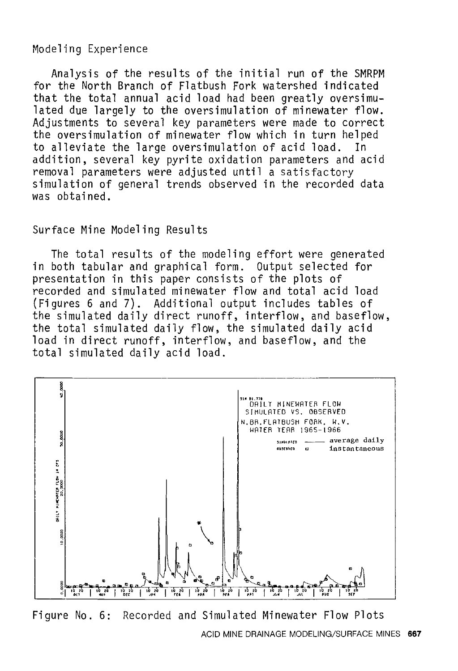## Modeling Experience

Analysis of the results of the initial run of the SMRPM for the North Branch of Flatbush Fork watershed indicated that the total annual acid load had been greatly oversimulated due largely to the oversimulation of minewater flow. Adjustments to several key parameters were made to correct the oversimulation of minewater flow which in turn helped<br>to alleviate the large oversimulation of acid load. In to alleviate the large oversimulation of acid load. addition, several key pyrite oxidation parameters and acid removal parameters were adjusted until a satisfactory simulation of general trends observed in the recorded data was obtained.

## Surface Mine Modeling Results

The total results of the modeling effort were generated in both tabular and graphical form. Output selected for presentation in this paper consists of the plots of recorded and simulated minewater flow and total acid load (Figures 6 and 7). Additional output includes tables of the simulated daily direct runoff, interflow, and baseflow, the total simulated daily flow, the simulated daily acid load in direct runoff, interflow, and baseflow, and the total simulated daily acid load.



Figure No. 6: Recorded and Simulated Minewater Flow Plots ACID MINE DRAINAGE MODELING/SURFACE MINES **667**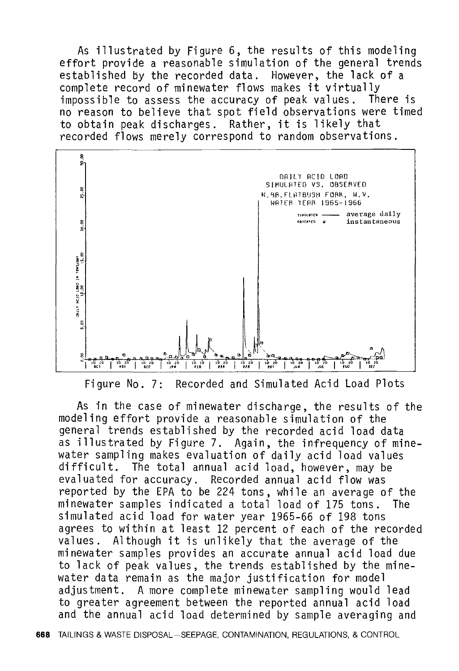As illustrated by Figure 6, the results of this modeling effort provide a reasonable simulation of the general trends established by the recorded data. However, the lack of a complete record of minewater flows makes it virtually impossible to assess the accuracy of peak values. There is no reason to believe that spot field observations were timed to obtain peak discharges. Rather, it is likely that recorded flows merely correspond to random observations.



Figure No. 7: Recorded and Simulated Acid Load Plots

As in the case of minewater discharge, the results of the modeling effort provide a reasonable simulation of the general trends established by the recorded acid load data as illustrated by Figure 7. Again, the infrequency of minewater sampling makes evaluation of daily acid load values difficult. The total annual acid load, however, may be evaluated for accuracy. Recorded annual acid flow was reported by the EPA to be 224 tons, while an average of the minewater samples indicated a total load of 175 tons. The simulated acid load for water year 1965-66 of 198 tons agrees to within at least 12 percent of each of the recorded values. Although it is unlikely that the average of the minewater samples provides an accurate annual acid load due to lack of peak values, the trends established by the minewater data remain as the major justification for model adjustment. A more complete minewater sampling would lead to greater agreement between the reported annual acid load and the annual acid load determined by sample averaging and

**668** TAILINGS & WASTE DISPOSAL-SEEPAGE, CONTAMINATION, REGULATIONS, & CONTROL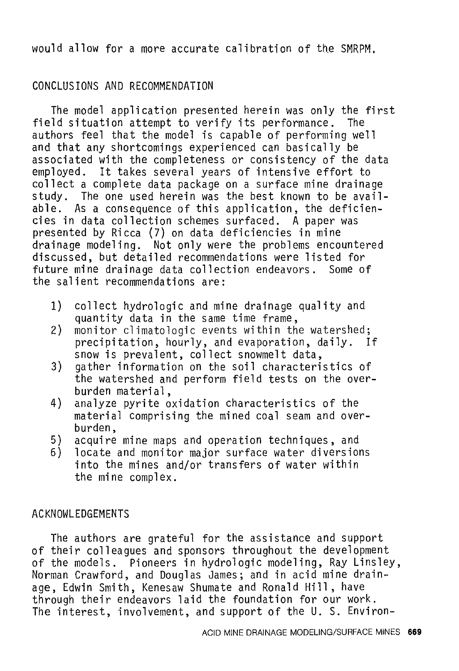would allow for a more accurate calibration of the SMRPM.

## CONCLUSIONS AND RECOMMENDATION

The model application presented herein was only the first field situation attempt to verify its performance. The authors feel that the model is capable of performing well and that any shortcomings experienced can basically be associated with the completeness or consistency of the data employed. It takes several years of intensive effort to collect a complete data package on a surface mine drainage study. The one used herein was the best known to be available. As a consequence of this application, the deficiencies in data collection schemes surfaced. A paper was presented by Ricca (7) on data deficiencies in mine drainage modeling. Not only were the problems encountered discussed, but detailed recommendations were listed for future mine drainage data collection endeavors. Some of the salient recommendations are:

- 1) collect hydrologic and mine drainage quality and quantity data in the same time frame,
- 2) monitor climatologic events within the watershed; precipitation, hourly, and evaporation, daily. If snow is prevalent, collect snowmelt data,
- 3) gather information on the soil characteristics of the watershed and perform field tests on the overburden material,
- 4) analyze pyrite oxidation characteristics of the material comprising the mined coal seam and overburden,
- 5) acquire mine maps and operation techniques, and
- locate and monitor major surface water diversions into the mines and/or transfers of water within the mine complex.

#### ACKNOWLEDGEMENTS

The authors are grateful for the assistance and support of their colleagues and sponsors throughout the development of the models. Pioneers in hydrologic modeling, Ray Linsley, Norman Crawford, and Douglas James; and in acid mine drainage, Edwin Smith, Kenesaw Shumate and Ronald Hill, have through their endeavors laid the foundation for our work. The interest, involvement, and support of the U. S. Environ